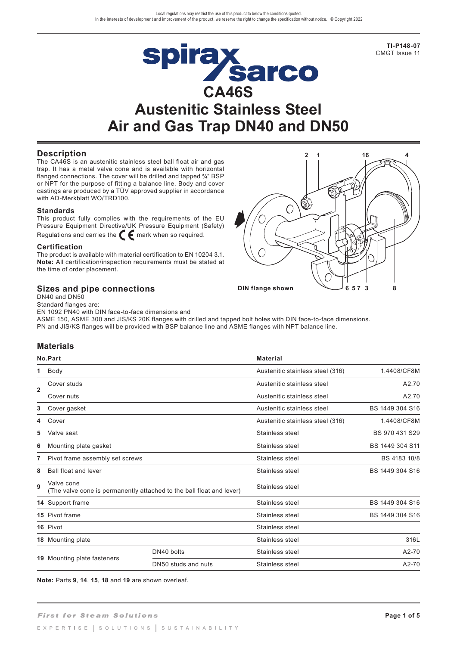**TI-P148-07** CMGT Issue 11

# Spirax<br>CA46S **Austenitic Stainless Steel Air and Gas Trap DN40 and DN50**

# **Description**

The CA46S is an austenitic stainless steel ball float air and gas trap. It has a metal valve cone and is available with horizontal flanged connections. The cover will be drilled and tapped **¾**" BSP or NPT for the purpose of fitting a balance line. Body and cover castings are produced by a TÜV approved supplier in accordance with AD-Merkblatt WO/TRD100.

#### **Standards**

This product fully complies with the requirements of the EU Pressure Equipment Directive/UK Pressure Equipment (Safety) Regulations and carries the  $\epsilon$  mark when so required.

#### **Certification**

The product is available with material certification to EN 10204 3.1. **Note:** All certification/inspection requirements must be stated at the time of order placement.

# **Sizes and pipe connections**



DN40 and DN50 Standard flanges are:

EN 1092 PN40 with DIN face-to-face dimensions and

ASME 150, ASME 300 and JIS/KS 20K flanges with drilled and tapped bolt holes with DIN face-to-face dimensions. PN and JIS/KS flanges will be provided with BSP balance line and ASME flanges with NPT balance line.

# **Materials**

|                | No.Part                                                                            |                     | <b>Material</b>                  |                 |  |
|----------------|------------------------------------------------------------------------------------|---------------------|----------------------------------|-----------------|--|
| 1.             | Body                                                                               |                     | Austenitic stainless steel (316) | 1.4408/CF8M     |  |
|                | Cover studs                                                                        |                     | Austenitic stainless steel       | A2.70           |  |
| $\overline{2}$ | Cover nuts                                                                         |                     | Austenitic stainless steel       | A2.70           |  |
| 3              | Cover gasket                                                                       |                     | Austenitic stainless steel       | BS 1449 304 S16 |  |
| 4              | Cover                                                                              |                     | Austenitic stainless steel (316) | 1.4408/CF8M     |  |
| 5              | Valve seat                                                                         |                     | Stainless steel                  | BS 970 431 S29  |  |
| 6              | Mounting plate gasket                                                              |                     | Stainless steel                  | BS 1449 304 S11 |  |
| 7              | Pivot frame assembly set screws                                                    |                     | Stainless steel                  | BS 4183 18/8    |  |
| 8              | <b>Ball float and lever</b>                                                        |                     | Stainless steel                  | BS 1449 304 S16 |  |
| 9              | Valve cone<br>(The valve cone is permanently attached to the ball float and lever) |                     | Stainless steel                  |                 |  |
|                | 14 Support frame                                                                   |                     | Stainless steel                  | BS 1449 304 S16 |  |
|                | 15 Pivot frame                                                                     |                     | Stainless steel                  | BS 1449 304 S16 |  |
|                | 16 Pivot                                                                           |                     | Stainless steel                  |                 |  |
|                | 18 Mounting plate                                                                  |                     | Stainless steel                  | 316L            |  |
|                |                                                                                    | DN40 bolts          | Stainless steel                  | A2-70           |  |
|                | <b>19</b> Mounting plate fasteners                                                 | DN50 studs and nuts | Stainless steel                  | A2-70           |  |

**Note:** Parts **9**, **14**, **15**, **18** and **19** are shown overleaf.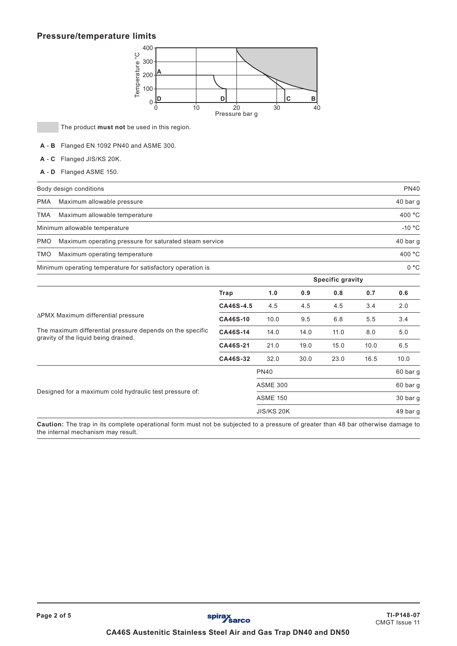# **Pressure/temperature limits**



The product **must not** be used in this region.

- **A B** Flanged EN 1092 PN40 and ASME 300.
- **A C** Flanged JIS/KS 20K.
- **A D** Flanged ASME 150.

|                                             | Body design conditions                                      | <b>PN40</b>      |
|---------------------------------------------|-------------------------------------------------------------|------------------|
| <b>PMA</b>                                  | Maximum allowable pressure                                  | 40 bar g         |
| <b>TMA</b><br>Maximum allowable temperature |                                                             | 400 °C           |
|                                             | Minimum allowable temperature                               | $-10 °C$         |
| <b>PMO</b>                                  | Maximum operating pressure for saturated steam service      | 40 bar q         |
| TMO                                         | Maximum operating temperature                               | 400 °C           |
|                                             | Minimum operating temperature for satisfactory operation is | 0 °C             |
|                                             |                                                             | Specific gravity |

|                                                                                                   |                 |                 |      | www.new.net |          |          |  |
|---------------------------------------------------------------------------------------------------|-----------------|-----------------|------|-------------|----------|----------|--|
|                                                                                                   | Trap            | 1.0             | 0.9  | 0.8         | 0.7      | 0.6      |  |
|                                                                                                   | CA46S-4.5       | 4.5             | 4.5  | 4.5         | 3.4      | 2.0      |  |
| ∆PMX Maximum differential pressure                                                                | <b>CA46S-10</b> | 10.0            | 9.5  | 6.8         | 5.5      | 3.4      |  |
| The maximum differential pressure depends on the specific<br>gravity of the liquid being drained. | CA46S-14        | 14.0            | 14.0 | 11.0        | 8.0      | 5.0      |  |
|                                                                                                   | CA46S-21        | 21.0            | 19.0 | 15.0        | 10.0     | 6.5      |  |
|                                                                                                   | CA46S-32        | 32.0            | 30.0 | 23.0        | 16.5     | 10.0     |  |
|                                                                                                   |                 | <b>PN40</b>     |      |             |          | 60 bar g |  |
|                                                                                                   |                 | <b>ASME 300</b> |      |             |          | 60 bar g |  |
| Designed for a maximum cold hydraulic test pressure of:                                           |                 | <b>ASME 150</b> |      |             | 30 bar g |          |  |
|                                                                                                   |                 | JIS/KS 20K      |      |             |          | 49 bar g |  |

**Caution:** The trap in its complete operational form must not be subjected to a pressure of greater than 48 bar otherwise damage to the internal mechanism may result.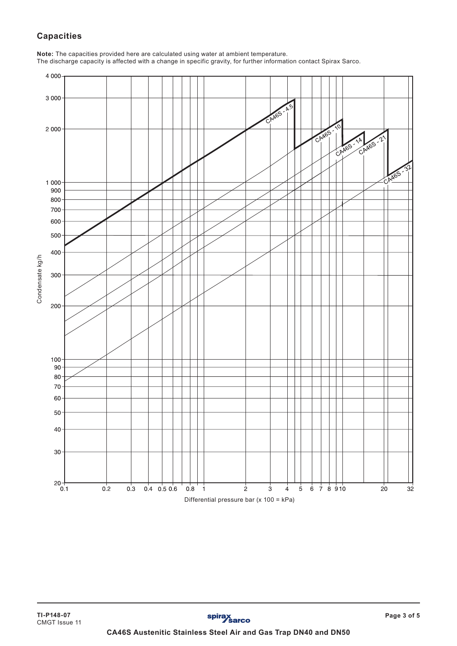# **Capacities**

**Note:** The capacities provided here are calculated using water at ambient temperature. The discharge capacity is affected with a change in specific gravity, for further information contact Spirax Sarco.

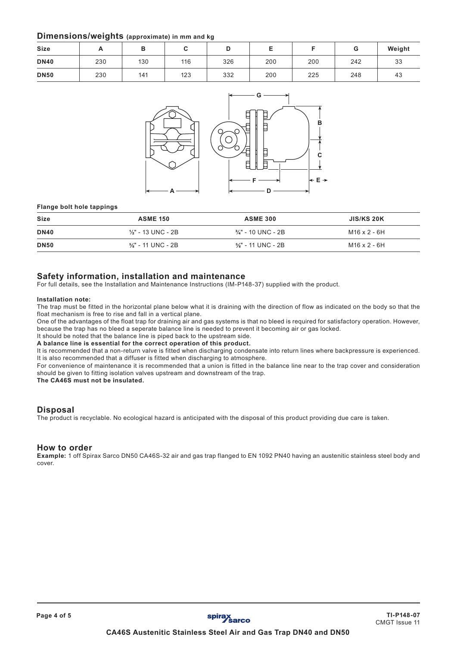# **Dimensions/weights (approximate) in mm and kg**

| . .<br>______<br>__ |          |     |     |     |     |     |     |        |
|---------------------|----------|-----|-----|-----|-----|-----|-----|--------|
| <b>Size</b>         | <b>.</b> | ◡   |     |     | -   |     | G   | Weight |
| <b>DN40</b>         | 230      | 130 | 116 | 326 | 200 | 200 | 242 | 33     |
| <b>DN50</b>         | 230      | 141 | 123 | 332 | 200 | 225 | 248 | 43     |



#### **Flange bolt hole tappings**

| <b>Size</b> | <b>ASME 150</b>               | <b>ASME 300</b>               | <b>JIS/KS 20K</b>   |
|-------------|-------------------------------|-------------------------------|---------------------|
| <b>DN40</b> | $\frac{1}{2}$ " - 13 UNC - 2B | 3⁄4" - 10 UNC - 2B            | M16 x 2 - 6H        |
| <b>DN50</b> | $\frac{5}{8}$ " - 11 UNC - 2B | $\frac{5}{8}$ " - 11 UNC - 2B | $M16 \times 2 - 6H$ |

# **Safety information, installation and maintenance**

For full details, see the Installation and Maintenance Instructions (IM-P148-37) supplied with the product.

#### **Installation note:**

The trap must be fitted in the horizontal plane below what it is draining with the direction of flow as indicated on the body so that the float mechanism is free to rise and fall in a vertical plane.

One of the advantages of the float trap for draining air and gas systems is that no bleed is required for satisfactory operation. However, because the trap has no bleed a seperate balance line is needed to prevent it becoming air or gas locked.

It should be noted that the balance line is piped back to the upstream side. **A balance line is essential for the correct operation of this product.**

It is recommended that a non-return valve is fitted when discharging condensate into return lines where backpressure is experienced. It is also recommended that a diffuser is fitted when discharging to atmosphere.

For convenience of maintenance it is recommended that a union is fitted in the balance line near to the trap cover and consideration should be given to fitting isolation valves upstream and downstream of the trap.

**The CA46S must not be insulated.**

# **Disposal**

The product is recyclable. No ecological hazard is anticipated with the disposal of this product providing due care is taken.

#### **How to order**

**Example:** 1 off Spirax Sarco DN50 CA46S-32 air and gas trap flanged to EN 1092 PN40 having an austenitic stainless steel body and cover.